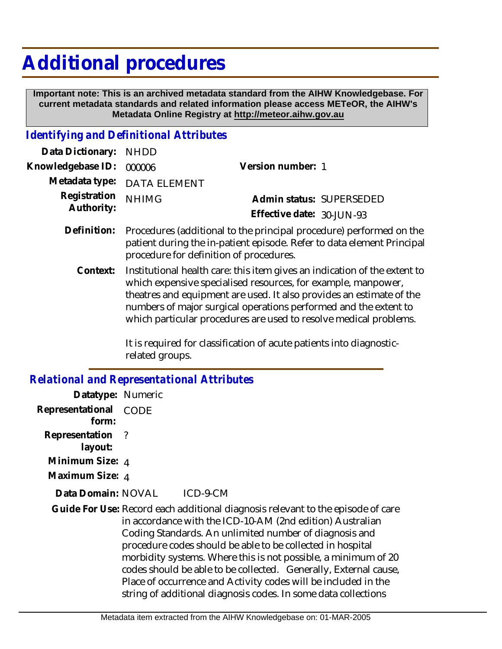## **Additional procedures**

 **Important note: This is an archived metadata standard from the AIHW Knowledgebase. For current metadata standards and related information please access METeOR, the AIHW's Metadata Online Registry at http://meteor.aihw.gov.au**

## *Identifying and Definitional Attributes*

| Data Dictionary: NHDD    |                             |                              |  |
|--------------------------|-----------------------------|------------------------------|--|
| Knowledgebase ID: 000006 |                             | Version number: 1            |  |
|                          | Metadata type: DATA ELEMENT |                              |  |
| Registration NHIMG       |                             | Admin status: SUPERSEDED     |  |
| Authority:               |                             | Effective date: $30$ -JUN-93 |  |
|                          |                             |                              |  |

- Procedures (additional to the principal procedure) performed on the patient during the in-patient episode. Refer to data element Principal procedure for definition of procedures. **Definition:**
	- Institutional health care: this item gives an indication of the extent to which expensive specialised resources, for example, manpower, theatres and equipment are used. It also provides an estimate of the numbers of major surgical operations performed and the extent to which particular procedures are used to resolve medical problems. **Context:**

It is required for classification of acute patients into diagnosticrelated groups.

*Relational and Representational Attributes* **Datatype:** Numeric **Representational** CODE  **form: Representation** ?  **layout: Minimum Size:** 4 **Maximum Size:** 4 ICD-9-CM Guide For Use: Record each additional diagnosis relevant to the episode of care in accordance with the ICD-10-AM (2nd edition) Australian Coding Standards. An unlimited number of diagnosis and procedure codes should be able to be collected in hospital morbidity systems. Where this is not possible, a minimum of 20 codes should be able to be collected. Generally, External cause, Place of occurrence and Activity codes will be included in the string of additional diagnosis codes. In some data collections **Data Domain:**